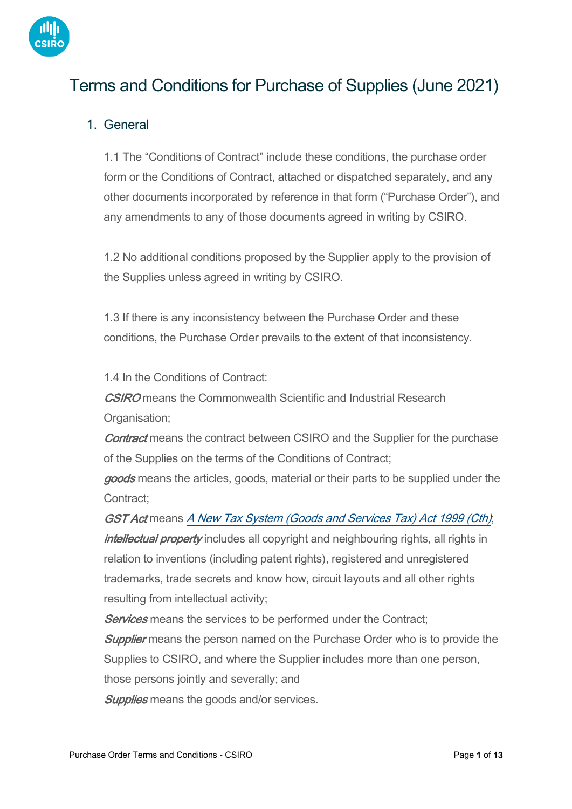

# Terms and Conditions for Purchase of Supplies (June 2021)

# 1. General

1.1 The "Conditions of Contract" include these conditions, the purchase order form or the Conditions of Contract, attached or dispatched separately, and any other documents incorporated by reference in that form ("Purchase Order"), and any amendments to any of those documents agreed in writing by CSIRO.

1.2 No additional conditions proposed by the Supplier apply to the provision of the Supplies unless agreed in writing by CSIRO.

1.3 If there is any inconsistency between the Purchase Order and these conditions, the Purchase Order prevails to the extent of that inconsistency.

1.4 In the Conditions of Contract:

**CSIRO** means the Commonwealth Scientific and Industrial Research Organisation;

**Contract** means the contract between CSIRO and the Supplier for the purchase of the Supplies on the terms of the Conditions of Contract;

goods means the articles, goods, material or their parts to be supplied under the Contract;

GST Act means [A New Tax System \(Goods and Services Tax\) Act 1999 \(Cth\)](https://www.legislation.gov.au/Details/C2017C00218); intellectual property includes all copyright and neighbouring rights, all rights in relation to inventions (including patent rights), registered and unregistered trademarks, trade secrets and know how, circuit layouts and all other rights resulting from intellectual activity;

**Services** means the services to be performed under the Contract;

**Supplier** means the person named on the Purchase Order who is to provide the Supplies to CSIRO, and where the Supplier includes more than one person, those persons jointly and severally; and

**Supplies** means the goods and/or services.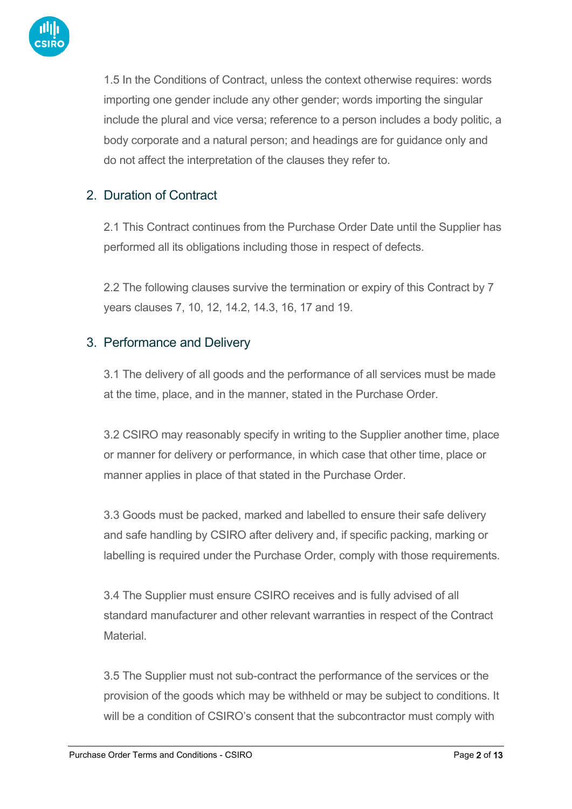

1.5 In the Conditions of Contract, unless the context otherwise requires: words importing one gender include any other gender; words importing the singular include the plural and vice versa; reference to a person includes a body politic, a body corporate and a natural person; and headings are for guidance only and do not affect the interpretation of the clauses they refer to.

# 2. Duration of Contract

2.1 This Contract continues from the Purchase Order Date until the Supplier has performed all its obligations including those in respect of defects.

2.2 The following clauses survive the termination or expiry of this Contract by 7 years clauses 7, 10, 12, 14.2, 14.3, 16, 17 and 19.

### 3. Performance and Delivery

3.1 The delivery of all goods and the performance of all services must be made at the time, place, and in the manner, stated in the Purchase Order.

3.2 CSIRO may reasonably specify in writing to the Supplier another time, place or manner for delivery or performance, in which case that other time, place or manner applies in place of that stated in the Purchase Order.

3.3 Goods must be packed, marked and labelled to ensure their safe delivery and safe handling by CSIRO after delivery and, if specific packing, marking or labelling is required under the Purchase Order, comply with those requirements.

3.4 The Supplier must ensure CSIRO receives and is fully advised of all standard manufacturer and other relevant warranties in respect of the Contract **Material** 

3.5 The Supplier must not sub-contract the performance of the services or the provision of the goods which may be withheld or may be subject to conditions. It will be a condition of CSIRO's consent that the subcontractor must comply with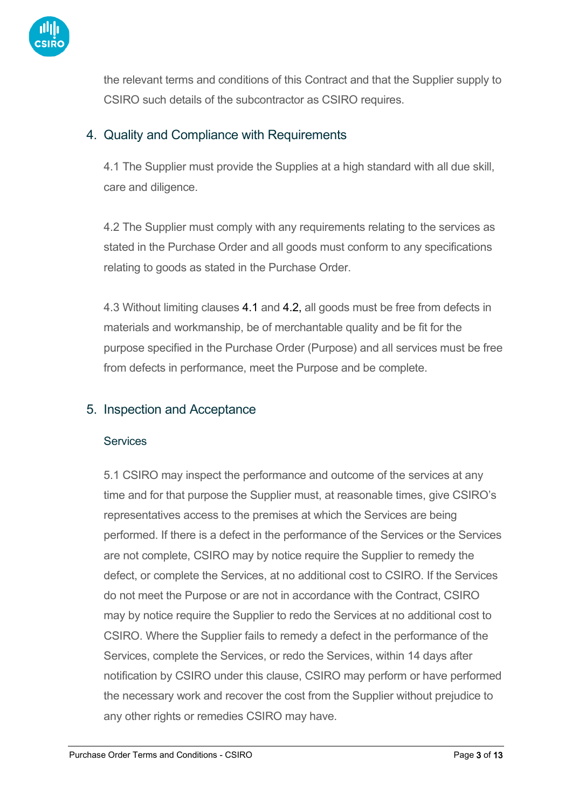

the relevant terms and conditions of this Contract and that the Supplier supply to CSIRO such details of the subcontractor as CSIRO requires.

# 4. Quality and Compliance with Requirements

4.1 The Supplier must provide the Supplies at a high standard with all due skill, care and diligence.

4.2 The Supplier must comply with any requirements relating to the services as stated in the Purchase Order and all goods must conform to any specifications relating to goods as stated in the Purchase Order.

4.3 Without limiting clauses 4.1 and 4.2, all goods must be free from defects in materials and workmanship, be of merchantable quality and be fit for the purpose specified in the Purchase Order (Purpose) and all services must be free from defects in performance, meet the Purpose and be complete.

### 5. Inspection and Acceptance

#### **Services**

5.1 CSIRO may inspect the performance and outcome of the services at any time and for that purpose the Supplier must, at reasonable times, give CSIRO's representatives access to the premises at which the Services are being performed. If there is a defect in the performance of the Services or the Services are not complete, CSIRO may by notice require the Supplier to remedy the defect, or complete the Services, at no additional cost to CSIRO. If the Services do not meet the Purpose or are not in accordance with the Contract, CSIRO may by notice require the Supplier to redo the Services at no additional cost to CSIRO. Where the Supplier fails to remedy a defect in the performance of the Services, complete the Services, or redo the Services, within 14 days after notification by CSIRO under this clause, CSIRO may perform or have performed the necessary work and recover the cost from the Supplier without prejudice to any other rights or remedies CSIRO may have.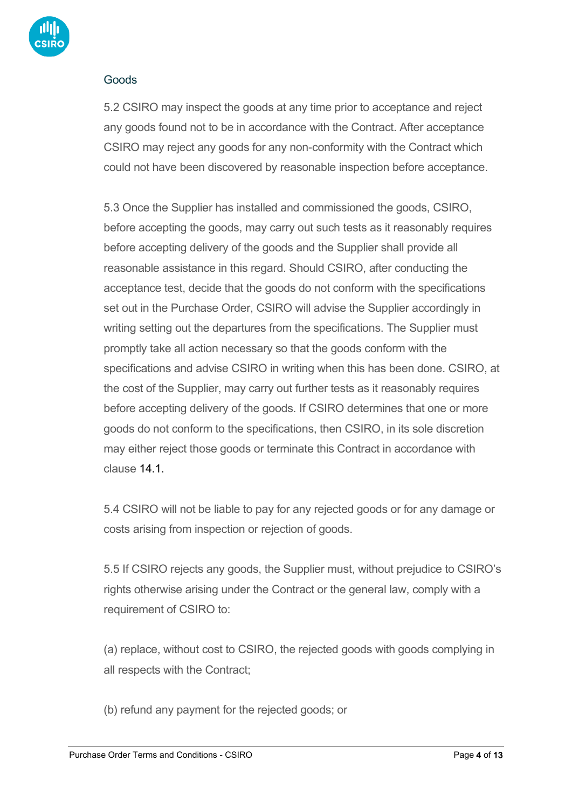

#### Goods

5.2 CSIRO may inspect the goods at any time prior to acceptance and reject any goods found not to be in accordance with the Contract. After acceptance CSIRO may reject any goods for any non-conformity with the Contract which could not have been discovered by reasonable inspection before acceptance.

5.3 Once the Supplier has installed and commissioned the goods, CSIRO, before accepting the goods, may carry out such tests as it reasonably requires before accepting delivery of the goods and the Supplier shall provide all reasonable assistance in this regard. Should CSIRO, after conducting the acceptance test, decide that the goods do not conform with the specifications set out in the Purchase Order, CSIRO will advise the Supplier accordingly in writing setting out the departures from the specifications. The Supplier must promptly take all action necessary so that the goods conform with the specifications and advise CSIRO in writing when this has been done. CSIRO, at the cost of the Supplier, may carry out further tests as it reasonably requires before accepting delivery of the goods. If CSIRO determines that one or more goods do not conform to the specifications, then CSIRO, in its sole discretion may either reject those goods or terminate this Contract in accordance with clause 14.1.

5.4 CSIRO will not be liable to pay for any rejected goods or for any damage or costs arising from inspection or rejection of goods.

5.5 If CSIRO rejects any goods, the Supplier must, without prejudice to CSIRO's rights otherwise arising under the Contract or the general law, comply with a requirement of CSIRO to:

(a) replace, without cost to CSIRO, the rejected goods with goods complying in all respects with the Contract;

(b) refund any payment for the rejected goods; or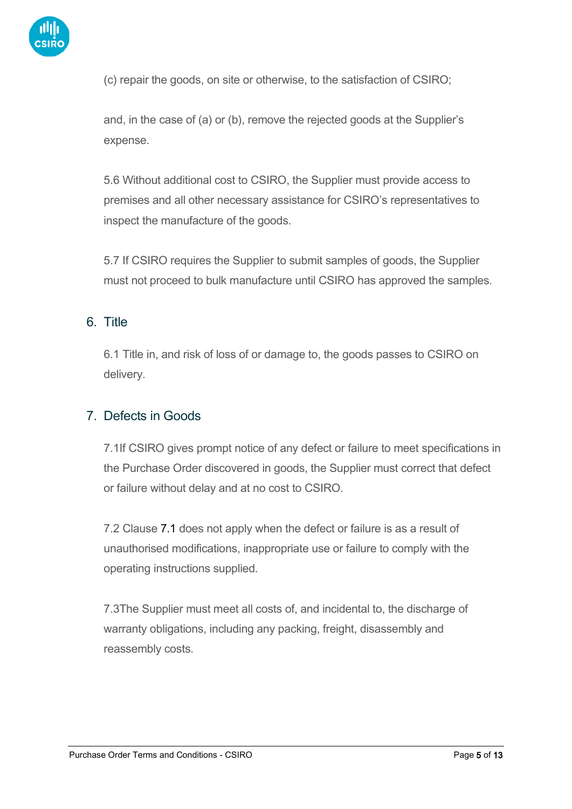

(c) repair the goods, on site or otherwise, to the satisfaction of CSIRO;

and, in the case of (a) or (b), remove the rejected goods at the Supplier's expense.

5.6 Without additional cost to CSIRO, the Supplier must provide access to premises and all other necessary assistance for CSIRO's representatives to inspect the manufacture of the goods.

5.7 If CSIRO requires the Supplier to submit samples of goods, the Supplier must not proceed to bulk manufacture until CSIRO has approved the samples.

# 6. Title

6.1 Title in, and risk of loss of or damage to, the goods passes to CSIRO on delivery.

### 7. Defects in Goods

7.1If CSIRO gives prompt notice of any defect or failure to meet specifications in the Purchase Order discovered in goods, the Supplier must correct that defect or failure without delay and at no cost to CSIRO.

7.2 Clause 7.1 does not apply when the defect or failure is as a result of unauthorised modifications, inappropriate use or failure to comply with the operating instructions supplied.

7.3The Supplier must meet all costs of, and incidental to, the discharge of warranty obligations, including any packing, freight, disassembly and reassembly costs.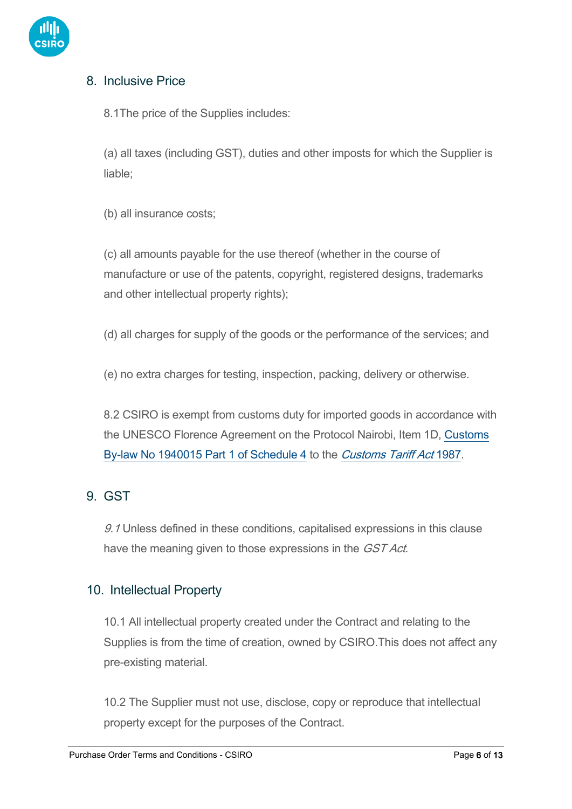

# 8. Inclusive Price

8.1The price of the Supplies includes:

(a) all taxes (including GST), duties and other imposts for which the Supplier is liable;

(b) all insurance costs;

(c) all amounts payable for the use thereof (whether in the course of manufacture or use of the patents, copyright, registered designs, trademarks and other intellectual property rights);

(d) all charges for supply of the goods or the performance of the services; and

(e) no extra charges for testing, inspection, packing, delivery or otherwise.

8.2 CSIRO is exempt from customs duty for imported goods in accordance with the UNESCO Florence Agreement on the Protocol Nairobi, Item 1D, [Customs](https://www.legislation.gov.au/Details/F2009B00163)  [By-law No 1940015 Part 1 of Schedule 4](https://www.legislation.gov.au/Details/F2009B00163) to the [Customs Tariff Act](https://www.legislation.gov.au/Details/C2004C03326) [1987.](https://www.legislation.gov.au/Details/C2004C03326)

# 9. GST

9.1 Unless defined in these conditions, capitalised expressions in this clause have the meaning given to those expressions in the *GST Act*.

### 10. Intellectual Property

10.1 All intellectual property created under the Contract and relating to the Supplies is from the time of creation, owned by CSIRO.This does not affect any pre-existing material.

10.2 The Supplier must not use, disclose, copy or reproduce that intellectual property except for the purposes of the Contract.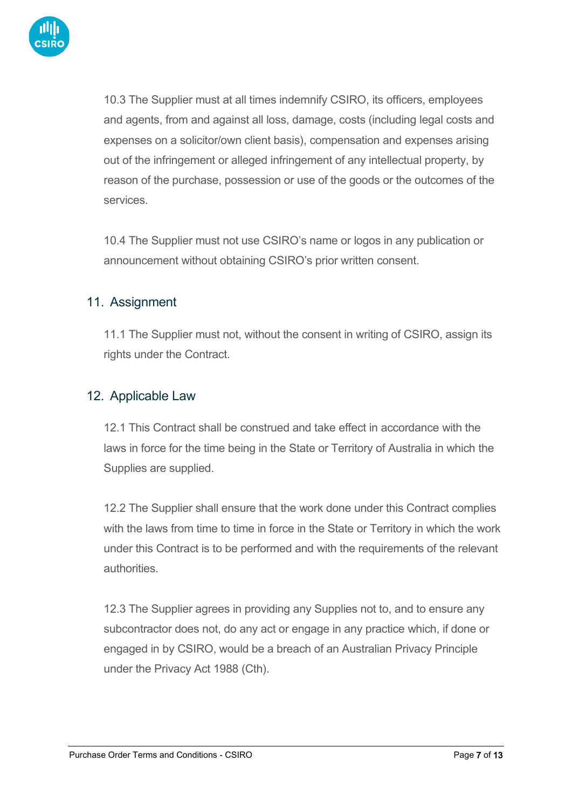

10.3 The Supplier must at all times indemnify CSIRO, its officers, employees and agents, from and against all loss, damage, costs (including legal costs and expenses on a solicitor/own client basis), compensation and expenses arising out of the infringement or alleged infringement of any intellectual property, by reason of the purchase, possession or use of the goods or the outcomes of the services.

10.4 The Supplier must not use CSIRO's name or logos in any publication or announcement without obtaining CSIRO's prior written consent.

### 11. Assignment

11.1 The Supplier must not, without the consent in writing of CSIRO, assign its rights under the Contract.

### 12. Applicable Law

12.1 This Contract shall be construed and take effect in accordance with the laws in force for the time being in the State or Territory of Australia in which the Supplies are supplied.

12.2 The Supplier shall ensure that the work done under this Contract complies with the laws from time to time in force in the State or Territory in which the work under this Contract is to be performed and with the requirements of the relevant authorities.

12.3 The Supplier agrees in providing any Supplies not to, and to ensure any subcontractor does not, do any act or engage in any practice which, if done or engaged in by CSIRO, would be a breach of an Australian Privacy Principle under the Privacy Act 1988 (Cth).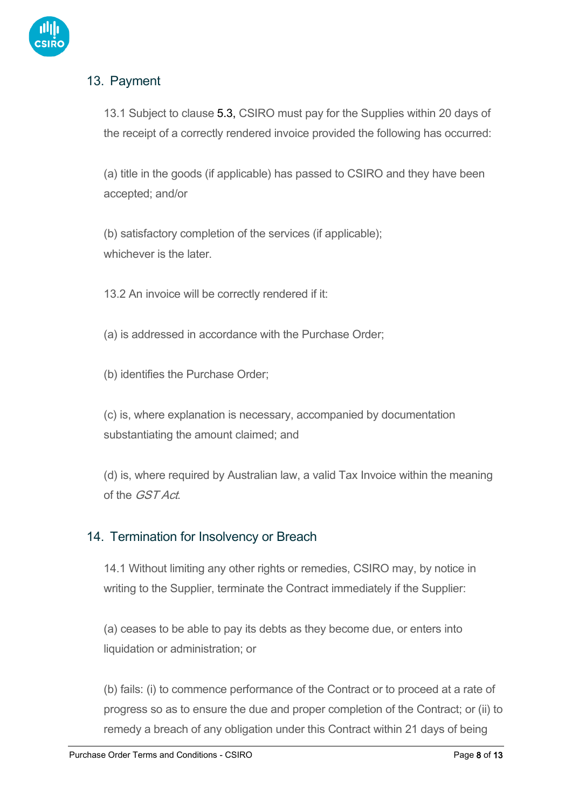

# 13. Payment

13.1 Subject to clause 5.3, CSIRO must pay for the Supplies within 20 days of the receipt of a correctly rendered invoice provided the following has occurred:

(a) title in the goods (if applicable) has passed to CSIRO and they have been accepted; and/or

(b) satisfactory completion of the services (if applicable); whichever is the later

13.2 An invoice will be correctly rendered if it:

(a) is addressed in accordance with the Purchase Order;

(b) identifies the Purchase Order;

(c) is, where explanation is necessary, accompanied by documentation substantiating the amount claimed; and

(d) is, where required by Australian law, a valid Tax Invoice within the meaning of the GST Act.

### 14. Termination for Insolvency or Breach

14.1 Without limiting any other rights or remedies, CSIRO may, by notice in writing to the Supplier, terminate the Contract immediately if the Supplier:

(a) ceases to be able to pay its debts as they become due, or enters into liquidation or administration; or

(b) fails: (i) to commence performance of the Contract or to proceed at a rate of progress so as to ensure the due and proper completion of the Contract; or (ii) to remedy a breach of any obligation under this Contract within 21 days of being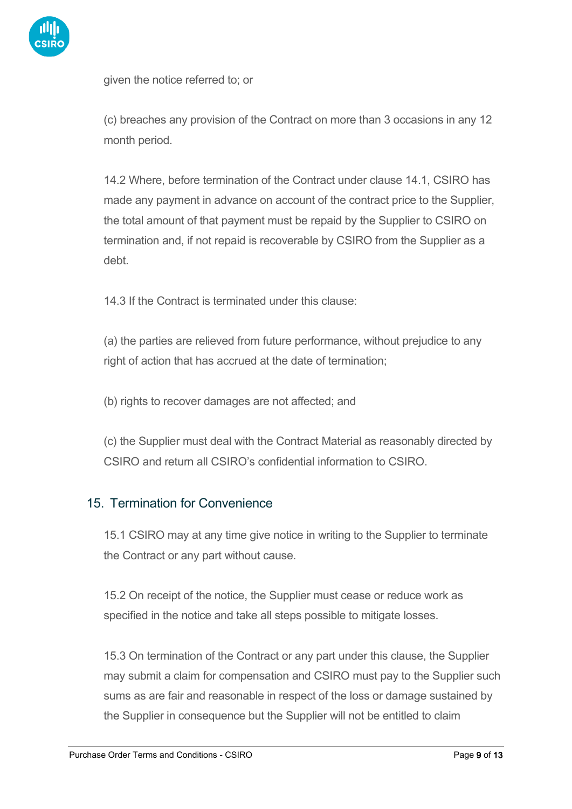

given the notice referred to; or

(c) breaches any provision of the Contract on more than 3 occasions in any 12 month period.

14.2 Where, before termination of the Contract under clause 14.1, CSIRO has made any payment in advance on account of the contract price to the Supplier, the total amount of that payment must be repaid by the Supplier to CSIRO on termination and, if not repaid is recoverable by CSIRO from the Supplier as a debt.

14.3 If the Contract is terminated under this clause:

(a) the parties are relieved from future performance, without prejudice to any right of action that has accrued at the date of termination;

(b) rights to recover damages are not affected; and

(c) the Supplier must deal with the Contract Material as reasonably directed by CSIRO and return all CSIRO's confidential information to CSIRO.

### 15. Termination for Convenience

15.1 CSIRO may at any time give notice in writing to the Supplier to terminate the Contract or any part without cause.

15.2 On receipt of the notice, the Supplier must cease or reduce work as specified in the notice and take all steps possible to mitigate losses.

15.3 On termination of the Contract or any part under this clause, the Supplier may submit a claim for compensation and CSIRO must pay to the Supplier such sums as are fair and reasonable in respect of the loss or damage sustained by the Supplier in consequence but the Supplier will not be entitled to claim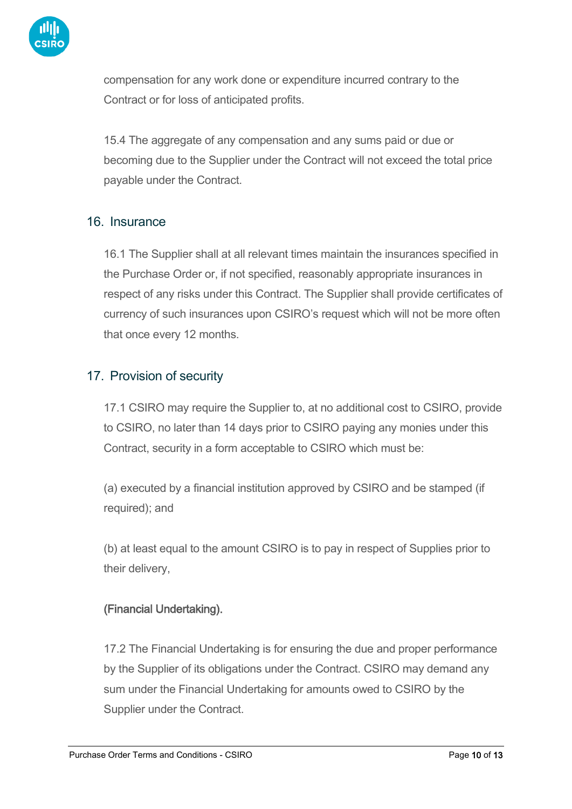

compensation for any work done or expenditure incurred contrary to the Contract or for loss of anticipated profits.

15.4 The aggregate of any compensation and any sums paid or due or becoming due to the Supplier under the Contract will not exceed the total price payable under the Contract.

### 16. Insurance

16.1 The Supplier shall at all relevant times maintain the insurances specified in the Purchase Order or, if not specified, reasonably appropriate insurances in respect of any risks under this Contract. The Supplier shall provide certificates of currency of such insurances upon CSIRO's request which will not be more often that once every 12 months.

# 17. Provision of security

17.1 CSIRO may require the Supplier to, at no additional cost to CSIRO, provide to CSIRO, no later than 14 days prior to CSIRO paying any monies under this Contract, security in a form acceptable to CSIRO which must be:

(a) executed by a financial institution approved by CSIRO and be stamped (if required); and

(b) at least equal to the amount CSIRO is to pay in respect of Supplies prior to their delivery,

### (Financial Undertaking).

17.2 The Financial Undertaking is for ensuring the due and proper performance by the Supplier of its obligations under the Contract. CSIRO may demand any sum under the Financial Undertaking for amounts owed to CSIRO by the Supplier under the Contract.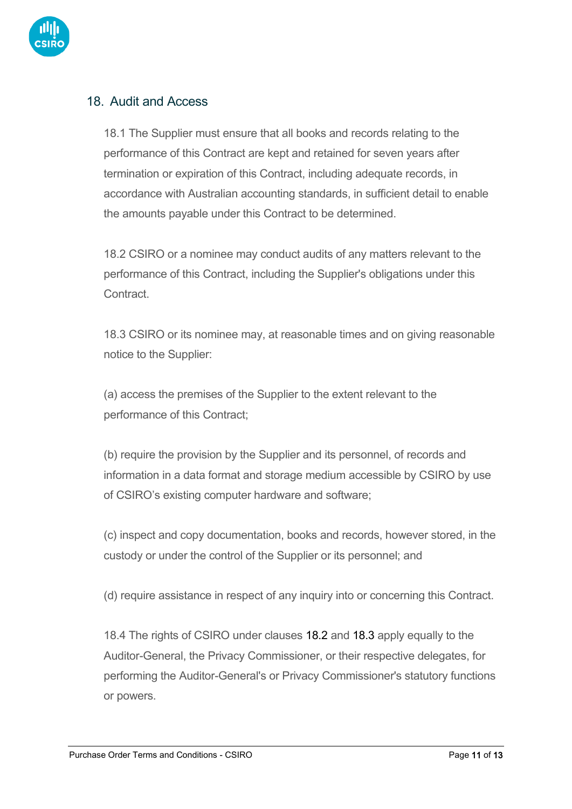

# 18. Audit and Access

18.1 The Supplier must ensure that all books and records relating to the performance of this Contract are kept and retained for seven years after termination or expiration of this Contract, including adequate records, in accordance with Australian accounting standards, in sufficient detail to enable the amounts payable under this Contract to be determined.

18.2 CSIRO or a nominee may conduct audits of any matters relevant to the performance of this Contract, including the Supplier's obligations under this Contract.

18.3 CSIRO or its nominee may, at reasonable times and on giving reasonable notice to the Supplier:

(a) access the premises of the Supplier to the extent relevant to the performance of this Contract;

(b) require the provision by the Supplier and its personnel, of records and information in a data format and storage medium accessible by CSIRO by use of CSIRO's existing computer hardware and software;

(c) inspect and copy documentation, books and records, however stored, in the custody or under the control of the Supplier or its personnel; and

(d) require assistance in respect of any inquiry into or concerning this Contract.

18.4 The rights of CSIRO under clauses 18.2 and 18.3 apply equally to the Auditor-General, the Privacy Commissioner, or their respective delegates, for performing the Auditor-General's or Privacy Commissioner's statutory functions or powers.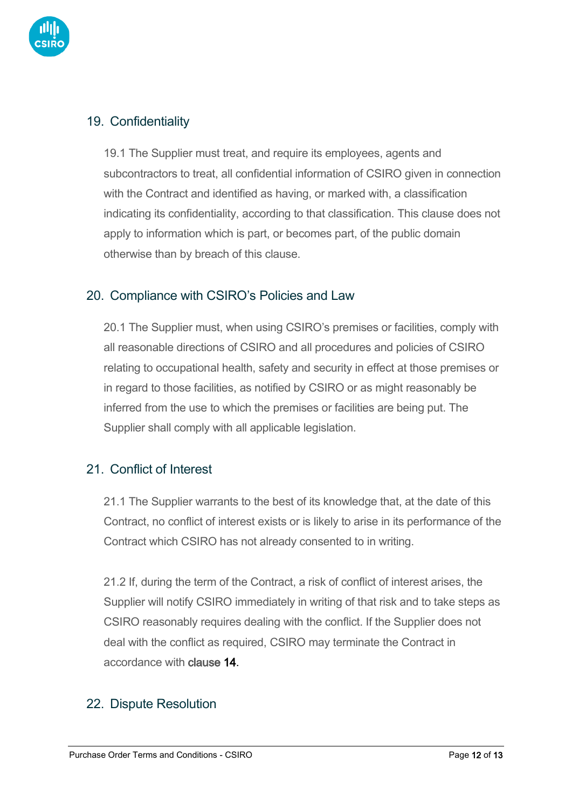

# 19. Confidentiality

19.1 The Supplier must treat, and require its employees, agents and subcontractors to treat, all confidential information of CSIRO given in connection with the Contract and identified as having, or marked with, a classification indicating its confidentiality, according to that classification. This clause does not apply to information which is part, or becomes part, of the public domain otherwise than by breach of this clause.

### 20. Compliance with CSIRO's Policies and Law

20.1 The Supplier must, when using CSIRO's premises or facilities, comply with all reasonable directions of CSIRO and all procedures and policies of CSIRO relating to occupational health, safety and security in effect at those premises or in regard to those facilities, as notified by CSIRO or as might reasonably be inferred from the use to which the premises or facilities are being put. The Supplier shall comply with all applicable legislation.

### 21 Conflict of Interest

21.1 The Supplier warrants to the best of its knowledge that, at the date of this Contract, no conflict of interest exists or is likely to arise in its performance of the Contract which CSIRO has not already consented to in writing.

21.2 If, during the term of the Contract, a risk of conflict of interest arises, the Supplier will notify CSIRO immediately in writing of that risk and to take steps as CSIRO reasonably requires dealing with the conflict. If the Supplier does not deal with the conflict as required, CSIRO may terminate the Contract in accordance with clause [14.](https://www.csiro.au/en/work-with-us/Working-with-CSIRO/Tenders-procurement/Purchase-TCs#_bookmark7)

### 22. Dispute Resolution